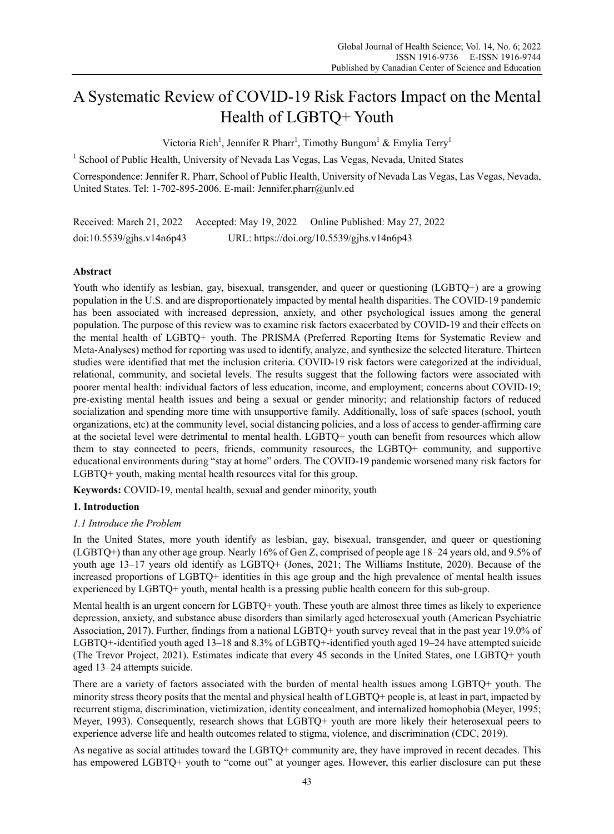# A Systematic Review of COVID-19 Risk Factors Impact on the Mental Health of LGBTQ+ Youth

Victoria Rich<sup>1</sup>, Jennifer R Pharr<sup>1</sup>, Timothy Bungum<sup>1</sup> & Emylia Terry<sup>1</sup>

<sup>1</sup> School of Public Health, University of Nevada Las Vegas, Las Vegas, Nevada, United States

Correspondence: Jennifer R. Pharr, School of Public Health, University of Nevada Las Vegas, Las Vegas, Nevada, United States. Tel: 1-702-895-2006. E-mail: Jennifer.pharr@unlv.ed

Received: March 21, 2022 Accepted: May 19, 2022 Online Published: May 27, 2022 doi:10.5539/gjhs.v14n6p43 URL: https://doi.org/10.5539/gjhs.v14n6p43

# **Abstract**

Youth who identify as lesbian, gay, bisexual, transgender, and queer or questioning (LGBTQ+) are a growing population in the U.S. and are disproportionately impacted by mental health disparities. The COVID-19 pandemic has been associated with increased depression, anxiety, and other psychological issues among the general population. The purpose of this review was to examine risk factors exacerbated by COVID-19 and their effects on the mental health of LGBTQ+ youth. The PRISMA (Preferred Reporting Items for Systematic Review and Meta-Analyses) method for reporting was used to identify, analyze, and synthesize the selected literature. Thirteen studies were identified that met the inclusion criteria. COVID-19 risk factors were categorized at the individual, relational, community, and societal levels. The results suggest that the following factors were associated with poorer mental health: individual factors of less education, income, and employment; concerns about COVID-19; pre-existing mental health issues and being a sexual or gender minority; and relationship factors of reduced socialization and spending more time with unsupportive family. Additionally, loss of safe spaces (school, youth organizations, etc) at the community level, social distancing policies, and a loss of access to gender-affirming care at the societal level were detrimental to mental health. LGBTQ+ youth can benefit from resources which allow them to stay connected to peers, friends, community resources, the LGBTQ+ community, and supportive educational environments during "stay at home" orders. The COVID-19 pandemic worsened many risk factors for LGBTQ+ youth, making mental health resources vital for this group.

**Keywords:** COVID-19, mental health, sexual and gender minority, youth

## **1. Introduction**

## *1.1 Introduce the Problem*

In the United States, more youth identify as lesbian, gay, bisexual, transgender, and queer or questioning (LGBTQ+) than any other age group. Nearly 16% of Gen Z, comprised of people age 18–24 years old, and 9.5% of youth age 13–17 years old identify as LGBTQ+ (Jones, 2021; The Williams Institute, 2020). Because of the increased proportions of LGBTQ+ identities in this age group and the high prevalence of mental health issues experienced by LGBTQ+ youth, mental health is a pressing public health concern for this sub-group.

Mental health is an urgent concern for LGBTQ+ youth. These youth are almost three times as likely to experience depression, anxiety, and substance abuse disorders than similarly aged heterosexual youth (American Psychiatric Association, 2017). Further, findings from a national LGBTQ+ youth survey reveal that in the past year 19.0% of LGBTQ+-identified youth aged 13–18 and 8.3% of LGBTQ+-identified youth aged 19–24 have attempted suicide (The Trevor Project, 2021). Estimates indicate that every 45 seconds in the United States, one LGBTQ+ youth aged 13–24 attempts suicide.

There are a variety of factors associated with the burden of mental health issues among LGBTQ+ youth. The minority stress theory posits that the mental and physical health of LGBTQ+ people is, at least in part, impacted by recurrent stigma, discrimination, victimization, identity concealment, and internalized homophobia (Meyer, 1995; Meyer, 1993). Consequently, research shows that LGBTQ+ youth are more likely their heterosexual peers to experience adverse life and health outcomes related to stigma, violence, and discrimination (CDC, 2019).

As negative as social attitudes toward the LGBTQ+ community are, they have improved in recent decades. This has empowered LGBTQ+ youth to "come out" at younger ages. However, this earlier disclosure can put these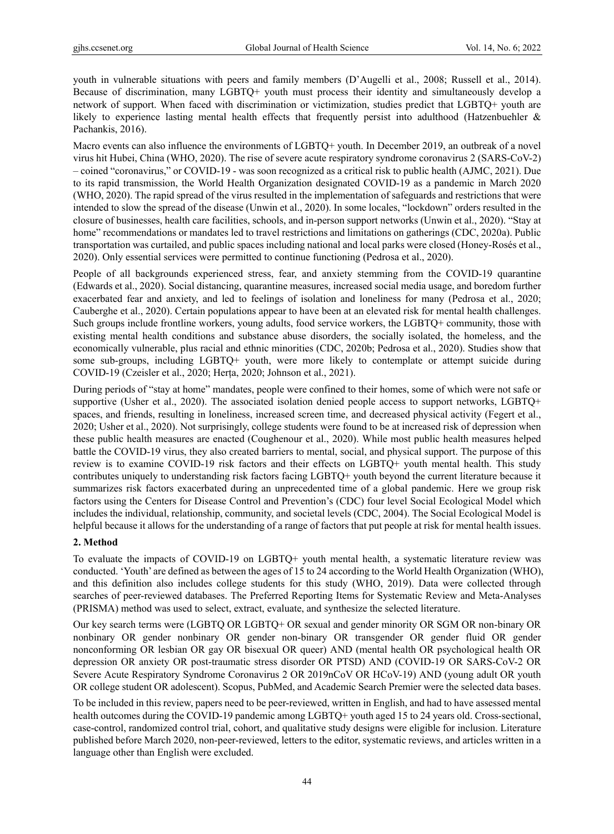youth in vulnerable situations with peers and family members (D'Augelli et al., 2008; Russell et al., 2014). Because of discrimination, many LGBTQ+ youth must process their identity and simultaneously develop a network of support. When faced with discrimination or victimization, studies predict that LGBTQ+ youth are likely to experience lasting mental health effects that frequently persist into adulthood (Hatzenbuehler & Pachankis, 2016).

Macro events can also influence the environments of LGBTQ+ youth. In December 2019, an outbreak of a novel virus hit Hubei, China (WHO, 2020). The rise of severe acute respiratory syndrome coronavirus 2 (SARS-CoV-2) – coined "coronavirus," or COVID-19 - was soon recognized as a critical risk to public health (AJMC, 2021). Due to its rapid transmission, the World Health Organization designated COVID-19 as a pandemic in March 2020 (WHO, 2020). The rapid spread of the virus resulted in the implementation of safeguards and restrictions that were intended to slow the spread of the disease (Unwin et al., 2020). In some locales, "lockdown" orders resulted in the closure of businesses, health care facilities, schools, and in-person support networks (Unwin et al., 2020). "Stay at home" recommendations or mandates led to travel restrictions and limitations on gatherings (CDC, 2020a). Public transportation was curtailed, and public spaces including national and local parks were closed (Honey-Rosés et al., 2020). Only essential services were permitted to continue functioning (Pedrosa et al., 2020).

People of all backgrounds experienced stress, fear, and anxiety stemming from the COVID-19 quarantine (Edwards et al., 2020). Social distancing, quarantine measures, increased social media usage, and boredom further exacerbated fear and anxiety, and led to feelings of isolation and loneliness for many (Pedrosa et al., 2020; Cauberghe et al., 2020). Certain populations appear to have been at an elevated risk for mental health challenges. Such groups include frontline workers, young adults, food service workers, the LGBTQ+ community, those with existing mental health conditions and substance abuse disorders, the socially isolated, the homeless, and the economically vulnerable, plus racial and ethnic minorities (CDC, 2020b; Pedrosa et al., 2020). Studies show that some sub-groups, including LGBTQ+ youth, were more likely to contemplate or attempt suicide during COVID-19 (Czeisler et al., 2020; Herța, 2020; Johnson et al., 2021).

During periods of "stay at home" mandates, people were confined to their homes, some of which were not safe or supportive (Usher et al., 2020). The associated isolation denied people access to support networks, LGBTQ+ spaces, and friends, resulting in loneliness, increased screen time, and decreased physical activity (Fegert et al., 2020; Usher et al., 2020). Not surprisingly, college students were found to be at increased risk of depression when these public health measures are enacted (Coughenour et al., 2020). While most public health measures helped battle the COVID-19 virus, they also created barriers to mental, social, and physical support. The purpose of this review is to examine COVID-19 risk factors and their effects on LGBTQ+ youth mental health. This study contributes uniquely to understanding risk factors facing LGBTQ+ youth beyond the current literature because it summarizes risk factors exacerbated during an unprecedented time of a global pandemic. Here we group risk factors using the Centers for Disease Control and Prevention's (CDC) four level Social Ecological Model which includes the individual, relationship, community, and societal levels (CDC, 2004). The Social Ecological Model is helpful because it allows for the understanding of a range of factors that put people at risk for mental health issues.

#### **2. Method**

To evaluate the impacts of COVID-19 on LGBTQ+ youth mental health, a systematic literature review was conducted. 'Youth' are defined as between the ages of 15 to 24 according to the World Health Organization (WHO), and this definition also includes college students for this study (WHO, 2019). Data were collected through searches of peer-reviewed databases. The Preferred Reporting Items for Systematic Review and Meta-Analyses (PRISMA) method was used to select, extract, evaluate, and synthesize the selected literature.

Our key search terms were (LGBTQ OR LGBTQ+ OR sexual and gender minority OR SGM OR non-binary OR nonbinary OR gender nonbinary OR gender non-binary OR transgender OR gender fluid OR gender nonconforming OR lesbian OR gay OR bisexual OR queer) AND (mental health OR psychological health OR depression OR anxiety OR post-traumatic stress disorder OR PTSD) AND (COVID-19 OR SARS-CoV-2 OR Severe Acute Respiratory Syndrome Coronavirus 2 OR 2019nCoV OR HCoV-19) AND (young adult OR youth OR college student OR adolescent). Scopus, PubMed, and Academic Search Premier were the selected data bases.

To be included in this review, papers need to be peer-reviewed, written in English, and had to have assessed mental health outcomes during the COVID-19 pandemic among LGBTQ+ youth aged 15 to 24 years old. Cross-sectional, case-control, randomized control trial, cohort, and qualitative study designs were eligible for inclusion. Literature published before March 2020, non-peer-reviewed, letters to the editor, systematic reviews, and articles written in a language other than English were excluded.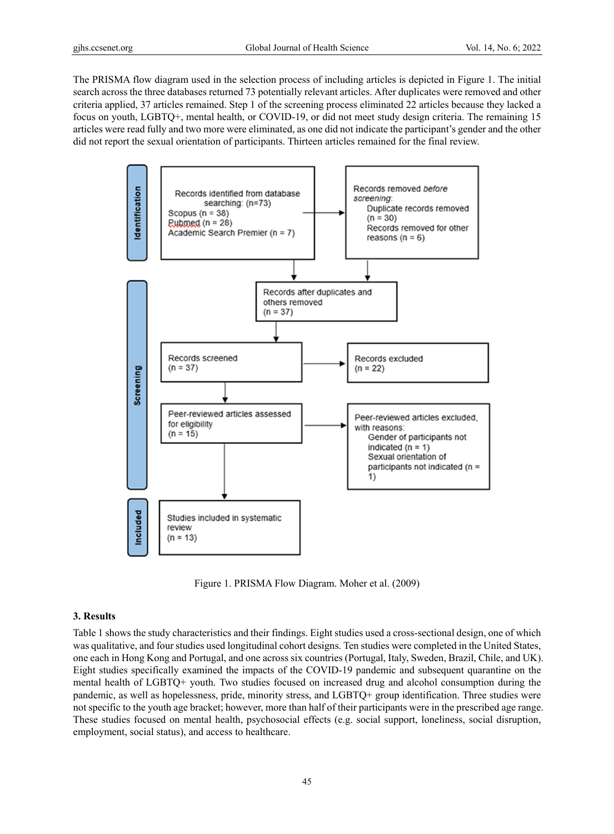The PRISMA flow diagram used in the selection process of including articles is depicted in Figure 1. The initial search across the three databases returned 73 potentially relevant articles. After duplicates were removed and other criteria applied, 37 articles remained. Step 1 of the screening process eliminated 22 articles because they lacked a focus on youth, LGBTQ+, mental health, or COVID-19, or did not meet study design criteria. The remaining 15 articles were read fully and two more were eliminated, as one did not indicate the participant's gender and the other did not report the sexual orientation of participants. Thirteen articles remained for the final review.



Figure 1. PRISMA Flow Diagram. Moher et al. (2009)

#### **3. Results**

Table 1 shows the study characteristics and their findings. Eight studies used a cross-sectional design, one of which was qualitative, and four studies used longitudinal cohort designs. Ten studies were completed in the United States, one each in Hong Kong and Portugal, and one across six countries (Portugal, Italy, Sweden, Brazil, Chile, and UK). Eight studies specifically examined the impacts of the COVID-19 pandemic and subsequent quarantine on the mental health of LGBTQ+ youth. Two studies focused on increased drug and alcohol consumption during the pandemic, as well as hopelessness, pride, minority stress, and LGBTQ+ group identification. Three studies were not specific to the youth age bracket; however, more than half of their participants were in the prescribed age range. These studies focused on mental health, psychosocial effects (e.g. social support, loneliness, social disruption, employment, social status), and access to healthcare.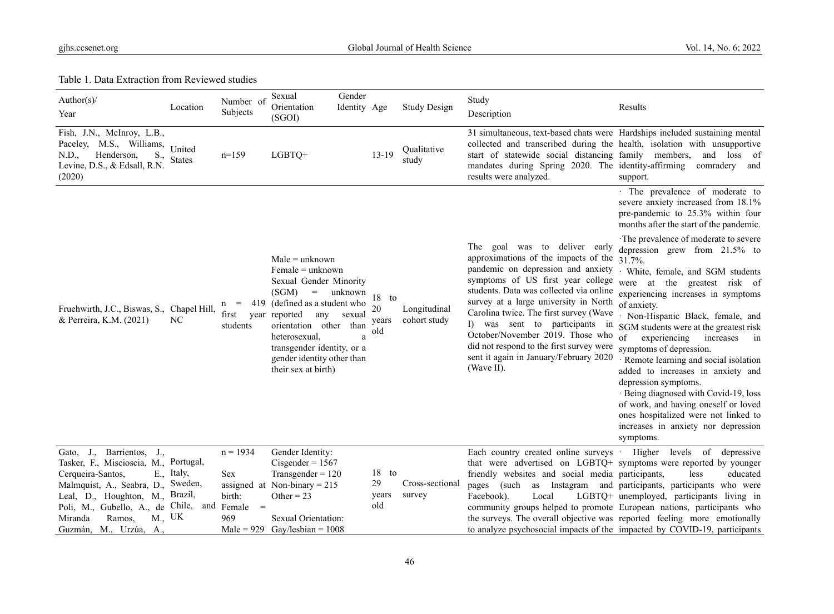Table 1. Data Extraction from Reviewed studies

| Author( $s$ )/<br>Location<br>Year                                                                                                                                                                                                                                                                 | Number of<br>Subjects                          | Gender<br>Sexual<br>Orientation<br>(SGOI)                                                                                                                                                                                                                                           | Identity Age                       | <b>Study Design</b>          | Study<br>Description                                                                                                                                                                                                                                                                                                                                                                                                                                                                                     | Results                                                                                                                                                                                                                                                                                                                                                                                                                                                                                                                                                                                                        |
|----------------------------------------------------------------------------------------------------------------------------------------------------------------------------------------------------------------------------------------------------------------------------------------------------|------------------------------------------------|-------------------------------------------------------------------------------------------------------------------------------------------------------------------------------------------------------------------------------------------------------------------------------------|------------------------------------|------------------------------|----------------------------------------------------------------------------------------------------------------------------------------------------------------------------------------------------------------------------------------------------------------------------------------------------------------------------------------------------------------------------------------------------------------------------------------------------------------------------------------------------------|----------------------------------------------------------------------------------------------------------------------------------------------------------------------------------------------------------------------------------------------------------------------------------------------------------------------------------------------------------------------------------------------------------------------------------------------------------------------------------------------------------------------------------------------------------------------------------------------------------------|
| Fish, J.N., McInroy, L.B.,<br>Paceley, M.S., Williams,<br>United<br>N.D.,<br>Henderson,<br>S.,<br><b>States</b><br>Levine, D.S., & Edsall, R.N.<br>(2020)                                                                                                                                          | $n=159$                                        | LGBTQ+                                                                                                                                                                                                                                                                              | $13-19$                            | Qualitative<br>study         | 31 simultaneous, text-based chats were Hardships included sustaining mental<br>collected and transcribed during the health, isolation with unsupportive<br>start of statewide social distancing family members, and loss of<br>mandates during Spring 2020. The identity-affirming<br>results were analyzed.                                                                                                                                                                                             | comradery and<br>support.                                                                                                                                                                                                                                                                                                                                                                                                                                                                                                                                                                                      |
|                                                                                                                                                                                                                                                                                                    |                                                |                                                                                                                                                                                                                                                                                     |                                    |                              |                                                                                                                                                                                                                                                                                                                                                                                                                                                                                                          | · The prevalence of moderate to<br>severe anxiety increased from 18.1%<br>pre-pandemic to 25.3% within four<br>months after the start of the pandemic.                                                                                                                                                                                                                                                                                                                                                                                                                                                         |
| Fruehwirth, J.C., Biswas, S., Chapel Hill,<br>& Perreira, K.M. (2021)<br>NC                                                                                                                                                                                                                        | 419<br>$=$<br>n<br>first<br>year<br>students   | $Male = unknown$<br>$Female = unknown$<br>Sexual Gender Minority<br>(SGM)<br>$=$ unknown<br>(defined as a student who<br>reported<br>any<br>sexual<br>orientation other<br>than<br>heterosexual,<br>transgender identity, or a<br>gender identity other than<br>their sex at birth) | $18$ to<br>20<br>years<br>old<br>a | Longitudinal<br>cohort study | The goal was to deliver early<br>approximations of the impacts of the $31.7\%$ .<br>pandemic on depression and anxiety . White, female, and SGM students<br>symptoms of US first year college<br>students. Data was collected via online<br>survey at a large university in North<br>Carolina twice. The first survey (Wave<br>I) was sent to participants<br>1n<br>October/November 2019. Those who<br>did not respond to the first survey were<br>sent it again in January/February 2020<br>(Wave II). | ·The prevalence of moderate to severe<br>depression grew from $21.5\%$ to<br>were at the greatest risk of<br>experiencing increases in symptoms<br>of anxiety.<br>Non-Hispanic Black, female, and<br>SGM students were at the greatest risk<br>$\circ$ f<br>experiencing<br>increases<br>$\sin$<br>symptoms of depression.<br>· Remote learning and social isolation<br>added to increases in anxiety and<br>depression symptoms.<br>· Being diagnosed with Covid-19, loss<br>of work, and having oneself or loved<br>ones hospitalized were not linked to<br>increases in anxiety nor depression<br>symptoms. |
| Gato, J., Barrientos, J.,<br>Tasker, F., Miscioscia, M.,<br>Portugal,<br>E., Italy,<br>Cerqueira-Santos,<br>Malmquist, A., Seabra, D., Sweden,<br>Leal, D., Houghton, M., Brazil,<br>Chile,<br>Poli, M., Gubello, A., de<br>and<br>$M_{\cdot}$ , UK<br>Ramos,<br>Miranda<br>Guzmán, M., Urzúa, A., | $n = 1934$<br>Sex<br>birth:<br>Female =<br>969 | Gender Identity:<br>Cisgender = $1567$<br>Transgender = $120$<br>assigned at Non-binary = $215$<br>Other = $23$<br>Sexual Orientation:<br>Male = $929$ Gay/lesbian = $1008$                                                                                                         | $18$ to<br>29<br>years<br>old      | Cross-sectional<br>survey    | Each country created online surveys · Higher<br>that were advertised on LGBTQ+ symptoms were reported by younger<br>friendly websites and social media participants,<br>pages (such<br>Facebook).<br>Local<br>community groups helped to promote European nations, participants who<br>the surveys. The overall objective was reported feeling more emotionally<br>to analyze psychosocial impacts of the impacted by COVID-19, participants                                                             | levels of depressive<br>less<br>educated<br>as Instagram and participants, participants who were<br>LGBTQ+ unemployed, participants living in                                                                                                                                                                                                                                                                                                                                                                                                                                                                  |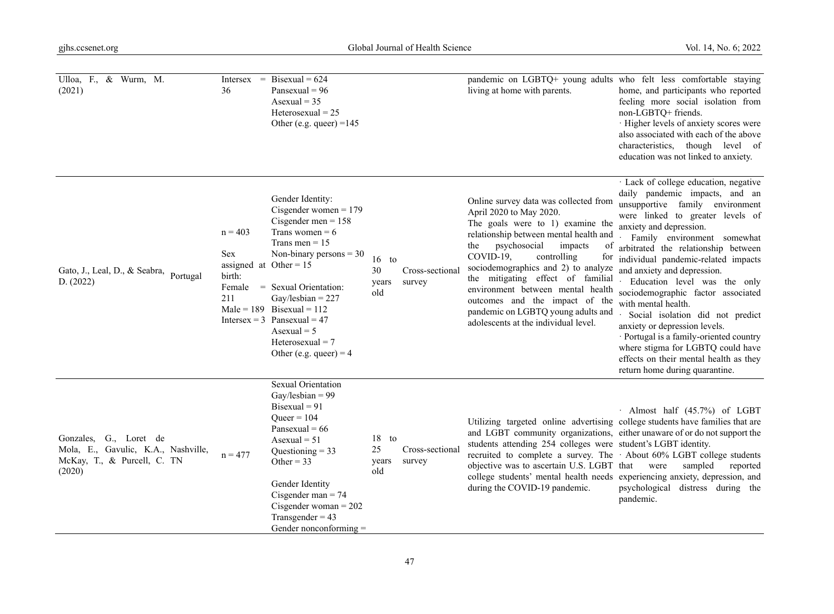| Ulloa, F., & Wurm, M.<br>(2021)                                                                           | $Intersex =$<br>36                                                             | Bisexual = $624$<br>Pansexual = $96$<br>Asexual = $35$<br>Heterosexual $= 25$<br>Other (e.g. queer) = $145$                                                                                                                                                                                                                   |                               |                           | pandemic on LGBTQ+ young adults who felt less comfortable staying<br>living at home with parents.                                                                                                                                                                                                                                                                                                                                                                      | home, and participants who reported<br>feeling more social isolation from<br>non-LGBTQ+ friends.<br>· Higher levels of anxiety scores were<br>also associated with each of the above<br>characteristics, though level of<br>education was not linked to anxiety.                                                                                                                                                                                                                                                                                                                                                                                    |
|-----------------------------------------------------------------------------------------------------------|--------------------------------------------------------------------------------|-------------------------------------------------------------------------------------------------------------------------------------------------------------------------------------------------------------------------------------------------------------------------------------------------------------------------------|-------------------------------|---------------------------|------------------------------------------------------------------------------------------------------------------------------------------------------------------------------------------------------------------------------------------------------------------------------------------------------------------------------------------------------------------------------------------------------------------------------------------------------------------------|-----------------------------------------------------------------------------------------------------------------------------------------------------------------------------------------------------------------------------------------------------------------------------------------------------------------------------------------------------------------------------------------------------------------------------------------------------------------------------------------------------------------------------------------------------------------------------------------------------------------------------------------------------|
| Gato, J., Leal, D., & Seabra, Portugal<br>D. (2022)                                                       | $n = 403$<br><b>Sex</b><br>assigned at Other = $15$<br>birth:<br>Female<br>211 | Gender Identity:<br>Cisgender women $= 179$<br>Cisgender men = $158$<br>Trans women = $6$<br>Trans men = $15$<br>Non-binary persons $=$ 30<br>= Sexual Orientation:<br>Gay/lesbian = $227$<br>Male = 189 Bisexual = 112<br>Intersex = $3$ Pansexual = $47$<br>Asexual $= 5$<br>Heterosexual $= 7$<br>Other (e.g. queer) = $4$ | $16$ to<br>30<br>years<br>old | Cross-sectional<br>survey | Online survey data was collected from<br>April 2020 to May 2020.<br>The goals were to 1) examine the<br>relationship between mental health and<br>psychosocial<br>impacts<br>the<br>of<br>COVID-19,<br>controlling<br>for<br>sociodemographics and 2) to analyze<br>the mitigating effect of familial<br>environment between mental health<br>outcomes and the impact of the<br>pandemic on LGBTQ young adults and<br>adolescents at the individual level.             | · Lack of college education, negative<br>daily pandemic impacts, and an<br>unsupportive family environment<br>were linked to greater levels of<br>anxiety and depression.<br>Family environment somewhat<br>arbitrated the relationship between<br>individual pandemic-related impacts<br>and anxiety and depression.<br>Education level was the only<br>sociodemographic factor associated<br>with mental health.<br>Social isolation did not predict<br>anxiety or depression levels.<br>· Portugal is a family-oriented country<br>where stigma for LGBTQ could have<br>effects on their mental health as they<br>return home during quarantine. |
| G., Loret de<br>Gonzales,<br>Mola, E., Gavulic, K.A., Nashville,<br>McKay, T., & Purcell, C. TN<br>(2020) | $n = 477$                                                                      | Sexual Orientation<br>Gay/lesbian = $99$<br>Bisexual = $91$<br>$Queer = 104$<br>Pansexual = $66$<br>$\text{A}$ sexual = 51<br>Questioning $=$ 33<br>Other = $33$<br>Gender Identity<br>Cisgender man $= 74$<br>Cisgender woman = $202$<br>Transgender = $43$<br>Gender nonconforming $=$                                      | $18$ to<br>25<br>years<br>old | Cross-sectional<br>survey | Utilizing targeted online advertising college students have families that are<br>and LGBT community organizations, either unaware of or do not support the<br>students attending 254 colleges were student's LGBT identity.<br>recruited to complete a survey. The · About 60% LGBT college students<br>objective was to ascertain U.S. LGBT that were<br>college students' mental health needs experiencing anxiety, depression, and<br>during the COVID-19 pandemic. | · Almost half (45.7%) of LGBT<br>sampled<br>reported<br>psychological distress during the<br>pandemic.                                                                                                                                                                                                                                                                                                                                                                                                                                                                                                                                              |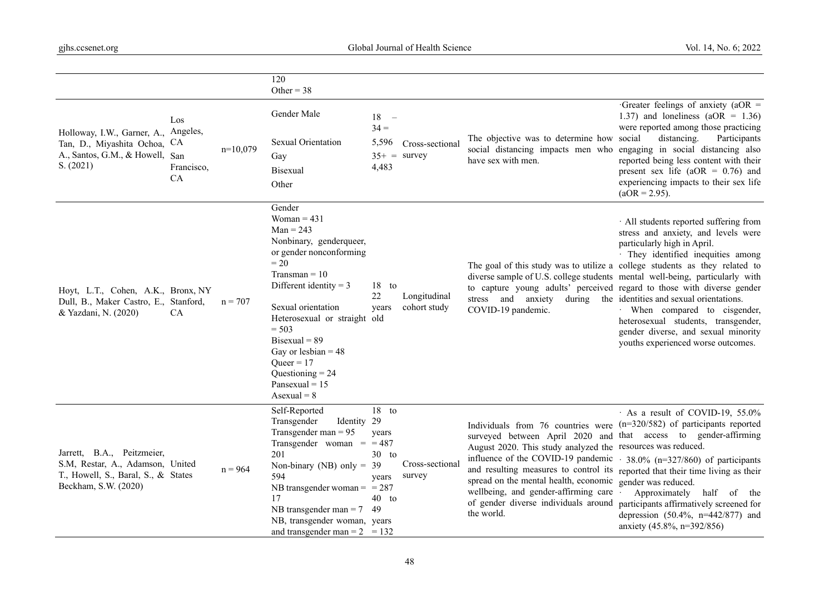|                                                                                                                               |                                |            | 120<br>Other = $38$                                                                                                                                                                                                                                                                                                                           |                                                            |                                   |                                                                                                                                                                                                                                                                                                                                                                                                                                                                                               |                                                                                                                                                                                                                                                                                                         |
|-------------------------------------------------------------------------------------------------------------------------------|--------------------------------|------------|-----------------------------------------------------------------------------------------------------------------------------------------------------------------------------------------------------------------------------------------------------------------------------------------------------------------------------------------------|------------------------------------------------------------|-----------------------------------|-----------------------------------------------------------------------------------------------------------------------------------------------------------------------------------------------------------------------------------------------------------------------------------------------------------------------------------------------------------------------------------------------------------------------------------------------------------------------------------------------|---------------------------------------------------------------------------------------------------------------------------------------------------------------------------------------------------------------------------------------------------------------------------------------------------------|
| Holloway, I.W., Garner, A., Angeles,<br>Tan, D., Miyashita Ochoa, CA<br>A., Santos, G.M., & Howell, San<br>S. (2021)          | Los<br>Francisco,<br><b>CA</b> | $n=10,079$ | Gender Male<br><b>Sexual Orientation</b><br>Gay<br><b>Bisexual</b><br>Other                                                                                                                                                                                                                                                                   | 18<br>$\overline{\phantom{a}}$<br>$34 =$<br>5,596<br>4,483 | Cross-sectional<br>$35+$ = survey | The objective was to determine how social<br>social distancing impacts men who engaging in social distancing also<br>have sex with men.                                                                                                                                                                                                                                                                                                                                                       | Greater feelings of anxiety (aOR $=$<br>1.37) and loneliness ( $aOR = 1.36$ )<br>were reported among those practicing<br>distancing.<br>Participants<br>reported being less content with their<br>present sex life (aOR = $0.76$ ) and<br>experiencing impacts to their sex life<br>$(aOR = 2.95)$ .    |
| Hoyt, L.T., Cohen, A.K., Bronx, NY<br>Dull, B., Maker Castro, E., Stanford,<br>& Yazdani, N. (2020)                           | CA                             | $n = 707$  | Gender<br>Woman = $431$<br>$Man = 243$<br>Nonbinary, genderqueer,<br>or gender nonconforming<br>$= 20$<br>$Transman = 10$<br>Different identity = $3$<br>Sexual orientation<br>Heterosexual or straight old<br>$= 503$<br>$Bisexual = 89$<br>Gay or lesbian = $48$<br>Oueer = $17$<br>Questioning $= 24$<br>Pansexual = $15$<br>Asexual = $8$ | $18$ to<br>22<br>years                                     | Longitudinal<br>cohort study      | The goal of this study was to utilize a college students as they related to<br>diverse sample of U.S. college students mental well-being, particularly with<br>to capture young adults' perceived regard to those with diverse gender<br>stress and anxiety during the identities and sexual orientations.<br>COVID-19 pandemic.                                                                                                                                                              | · All students reported suffering from<br>stress and anxiety, and levels were<br>particularly high in April.<br>· They identified inequities among<br>· When compared to cisgender,<br>heterosexual students, transgender,<br>gender diverse, and sexual minority<br>youths experienced worse outcomes. |
| Jarrett, B.A., Peitzmeier,<br>S.M, Restar, A., Adamson, United<br>T., Howell, S., Baral, S., & States<br>Beckham, S.W. (2020) |                                | $n = 964$  | Self-Reported<br>Transgender<br>Identity 29<br>Transgender man $= 95$<br>Transgender woman $=$ = 487<br>201<br>Non-binary (NB) only = $39$<br>594<br>NB transgender woman = $= 287$<br>17<br>NB transgender man = $7 \quad 49$<br>NB, transgender woman, years<br>and transgender man = $2 \approx 132$                                       | $18$ to<br>years<br>$30$ to<br>years<br>$40$ to            | Cross-sectional<br>survey         | Individuals from 76 countries were (n=320/582) of participants reported<br>surveyed between April 2020 and that access to gender-affirming<br>August 2020. This study analyzed the resources was reduced.<br>influence of the COVID-19 pandemic.<br>and resulting measures to control its reported that their time living as their<br>spread on the mental health, economic gender was reduced.<br>wellbeing, and gender-affirming care<br>of gender diverse individuals around<br>the world. | · As a result of COVID-19, 55.0%<br>38.0% ( $n=327/860$ ) of participants<br>Approximately half of the<br>participants affirmatively screened for<br>depression $(50.4\%, n=442/877)$ and<br>anxiety (45.8%, n=392/856)                                                                                 |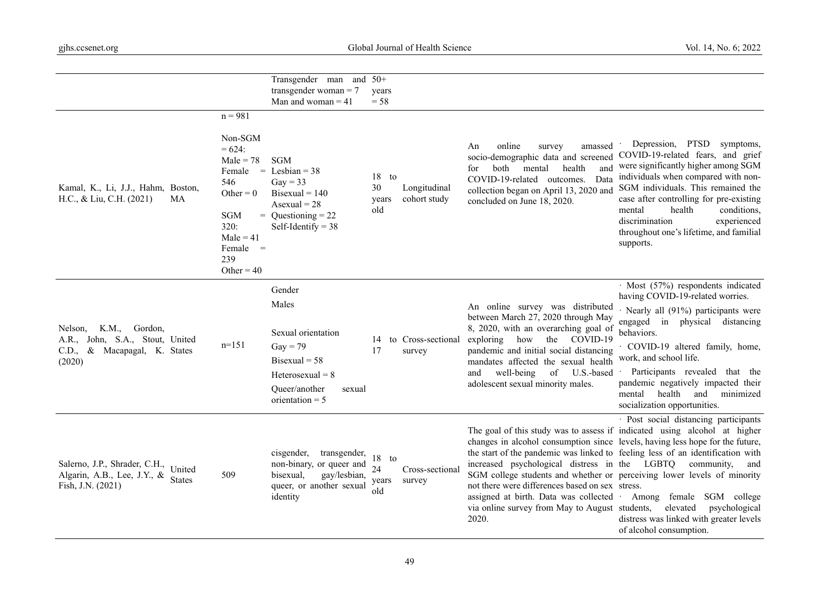|                                                                                                              |                                                                                                                                                           | Transgender man and 50+<br>transgender woman $= 7$<br>Man and woman $=$ 41                                                                          | years<br>$= 58$                |                              |                                                                                                                                                                                                                                                                                                                                                                                  |                                                                                                                                                                                                                                                                                                                                                                               |
|--------------------------------------------------------------------------------------------------------------|-----------------------------------------------------------------------------------------------------------------------------------------------------------|-----------------------------------------------------------------------------------------------------------------------------------------------------|--------------------------------|------------------------------|----------------------------------------------------------------------------------------------------------------------------------------------------------------------------------------------------------------------------------------------------------------------------------------------------------------------------------------------------------------------------------|-------------------------------------------------------------------------------------------------------------------------------------------------------------------------------------------------------------------------------------------------------------------------------------------------------------------------------------------------------------------------------|
| Kamal, K., Li, J.J., Hahm, Boston,<br>H.C., & Liu, C.H. (2021)<br>МA                                         | $n = 981$<br>Non-SGM<br>$= 624:$<br>$Male = 78$<br>Female<br>546<br>Other = $0$<br><b>SGM</b><br>320:<br>$Male = 41$<br>$Female =$<br>239<br>Other = $40$ | <b>SGM</b><br>$=$ Lesbian $=$ 38<br>$\text{Gay} = 33$<br>Bisexual = $140$<br>Asexual = $28$<br>$=$ Questioning $= 22$<br>Self-Identify = $38$       | $18$ to<br>30<br>years<br>old  | Longitudinal<br>cohort study | amassed<br>online<br>survey<br>An<br>socio-demographic data and screened<br>both<br>and<br>mental<br>health<br>for<br>Data<br>COVID-19-related outcomes.<br>collection began on April 13, 2020 and<br>concluded on June 18, 2020.                                                                                                                                                | Depression, PTSD<br>symptoms,<br>COVID-19-related fears, and grief<br>were significantly higher among SGM<br>individuals when compared with non-<br>SGM individuals. This remained the<br>case after controlling for pre-existing<br>health<br>conditions,<br>mental<br>discrimination<br>experienced<br>throughout one's lifetime, and familial<br>supports.                 |
| K.M.,<br>Gordon,<br>Nelson,<br>A.R., John, S.A., Stout, United<br>& Macapagal, K. States<br>C.D.,<br>(2020)  | $n=151$                                                                                                                                                   | Gender<br>Males<br>Sexual orientation<br>$\text{Gay} = 79$<br>$Bisexual = 58$<br>$Heterosexual = 8$<br>Oueer/another<br>sexual<br>orientation $= 5$ | 14<br>17                       | to Cross-sectional<br>survey | An online survey was distributed<br>between March 27, 2020 through May<br>8, 2020, with an overarching goal of<br>exploring how<br>the<br>COVID-19<br>pandemic and initial social distancing<br>mandates affected the sexual health<br>well-being<br>of<br>U.S.-based<br>and<br>adolescent sexual minority males.                                                                | · Most (57%) respondents indicated<br>having COVID-19-related worries.<br>$\cdot$ Nearly all (91%) participants were<br>engaged in physical distancing<br>behaviors.<br>COVID-19 altered family, home,<br>work, and school life.<br>Participants revealed that the<br>pandemic negatively impacted their<br>health<br>and minimized<br>mental<br>socialization opportunities. |
| Salerno, J.P., Shrader, C.H.,<br>United<br>Algarin, A.B., Lee, J.Y., &<br><b>States</b><br>Fish, J.N. (2021) | 509                                                                                                                                                       | cisgender,<br>transgender,<br>non-binary, or queer and<br>bisexual,<br>gay/lesbian,<br>queer, or another sexual<br>identity                         | 18<br>to<br>24<br>years<br>old | Cross-sectional<br>survey    | The goal of this study was to assess if indicated using alcohol at higher<br>the start of the pandemic was linked to feeling less of an identification with<br>increased psychological distress in the LGBTQ community,<br>not there were differences based on sex stress.<br>assigned at birth. Data was collected .<br>via online survey from May to August students,<br>2020. | · Post social distancing participants<br>changes in alcohol consumption since levels, having less hope for the future,<br>and<br>SGM college students and whether or perceiving lower levels of minority<br>Among female SGM college<br>elevated<br>psychological<br>distress was linked with greater levels<br>of alcohol consumption.                                       |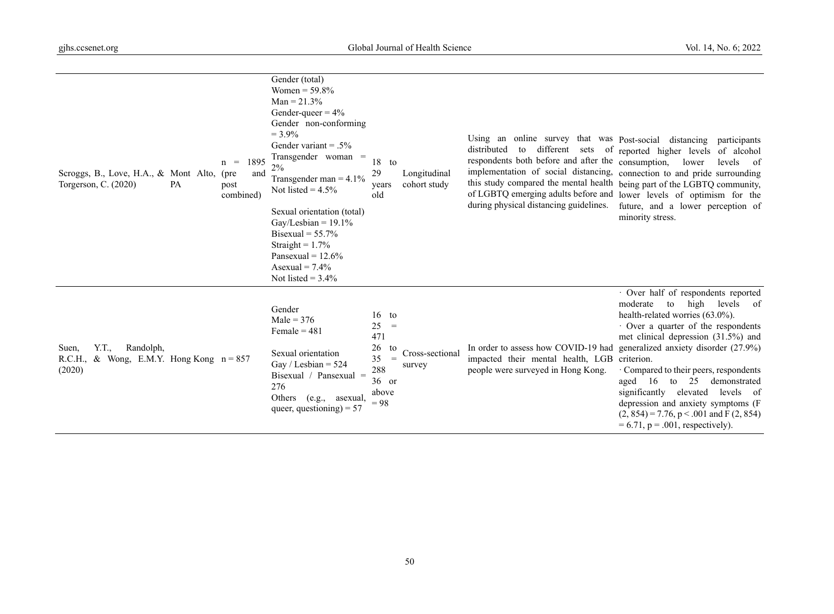| Y.T.,<br>Randolph,<br>Suen,<br>R.C.H., & Wong, E.M.Y. Hong Kong $n = 857$<br>(2020)                            | Bisexual = $55.7\%$<br>Straight = $1.7\%$<br>Pansexual = $12.6\%$<br>Asexual = $7.4\%$<br>Not listed = $3.4\%$<br>Gender<br>Male = $376$<br>Female = $481$<br>Sexual orientation<br>Gay / Lesbian = $524$<br>Bisexual / Pansexual $=$<br>276<br>Others<br>(e.g.,<br>asexual,                    | 16<br>to<br>25<br>$\hspace{1.6cm} = \hspace{1.6cm}$<br>471<br>26<br>to<br>35<br>$=$<br>288<br>$36$ or<br>above<br>$= 98$ | Cross-sectional<br>survey    | In order to assess how COVID-19 had<br>impacted their mental health, LGB criterion.<br>people were surveyed in Hong Kong.                                                                                                                                                                                                                                                   | · Over half of respondents reported<br>moderate<br>to<br>high<br>levels<br>of<br>health-related worries (63.0%).<br>· Over a quarter of the respondents<br>met clinical depression (31.5%) and<br>generalized anxiety disorder (27.9%)<br>· Compared to their peers, respondents<br>aged 16 to<br>25<br>demonstrated<br>significantly elevated<br>levels of<br>depression and anxiety symptoms (F |
|----------------------------------------------------------------------------------------------------------------|-------------------------------------------------------------------------------------------------------------------------------------------------------------------------------------------------------------------------------------------------------------------------------------------------|--------------------------------------------------------------------------------------------------------------------------|------------------------------|-----------------------------------------------------------------------------------------------------------------------------------------------------------------------------------------------------------------------------------------------------------------------------------------------------------------------------------------------------------------------------|---------------------------------------------------------------------------------------------------------------------------------------------------------------------------------------------------------------------------------------------------------------------------------------------------------------------------------------------------------------------------------------------------|
| 1895<br>$n =$<br>Scroggs, B., Love, H.A., & Mont Alto, (pre<br>Torgerson, C. (2020)<br>PA<br>post<br>combined) | Gender (total)<br>Women = $59.8\%$<br>$Man = 21.3%$<br>Gender-queer = $4\%$<br>Gender non-conforming<br>$= 3.9\%$<br>Gender variant = $.5\%$<br>Transgender woman =<br>$2\%$<br>and<br>Transgender man $=$ 4.1%<br>Not listed = $4.5\%$<br>Sexual orientation (total)<br>Gay/Lesbian = $19.1\%$ | 18<br>to<br>29<br>years<br>old                                                                                           | Longitudinal<br>cohort study | Using an online survey that was Post-social distancing participants<br>distributed<br>different sets<br>to<br>respondents both before and after the consumption, lower<br>implementation of social distancing,<br>this study compared the mental health being part of the LGBTQ community,<br>of LGBTQ emerging adults before and<br>during physical distancing guidelines. | of reported higher levels of alcohol<br>levels<br>of<br>connection to and pride surrounding<br>lower levels of optimism for the<br>future, and a lower perception of<br>minority stress.                                                                                                                                                                                                          |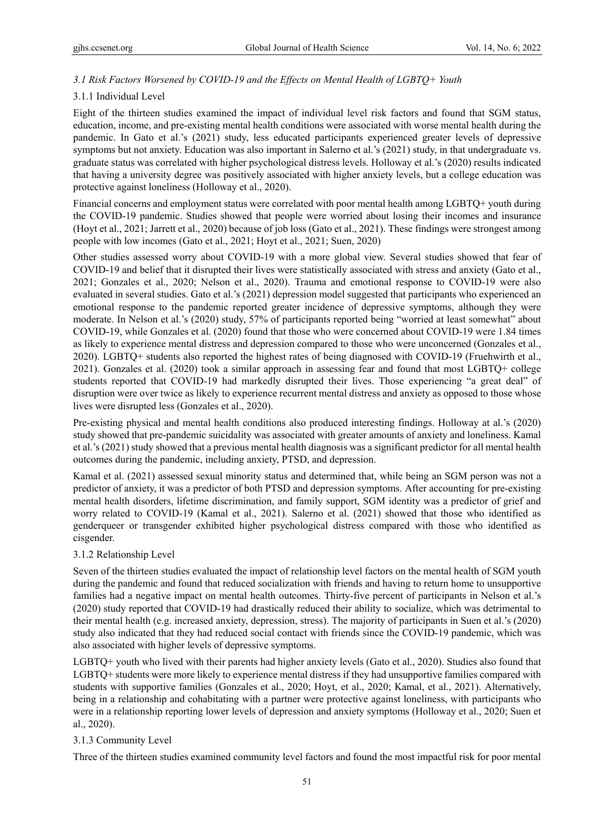# *3.1 Risk Factors Worsened by COVID-19 and the Effects on Mental Health of LGBTQ+ Youth*

## 3.1.1 Individual Level

Eight of the thirteen studies examined the impact of individual level risk factors and found that SGM status, education, income, and pre-existing mental health conditions were associated with worse mental health during the pandemic. In Gato et al.'s (2021) study, less educated participants experienced greater levels of depressive symptoms but not anxiety. Education was also important in Salerno et al.'s (2021) study, in that undergraduate vs. graduate status was correlated with higher psychological distress levels. Holloway et al.'s (2020) results indicated that having a university degree was positively associated with higher anxiety levels, but a college education was protective against loneliness (Holloway et al., 2020).

Financial concerns and employment status were correlated with poor mental health among LGBTQ+ youth during the COVID-19 pandemic. Studies showed that people were worried about losing their incomes and insurance (Hoyt et al., 2021; Jarrett et al., 2020) because of job loss (Gato et al., 2021). These findings were strongest among people with low incomes (Gato et al., 2021; Hoyt et al., 2021; Suen, 2020)

Other studies assessed worry about COVID-19 with a more global view. Several studies showed that fear of COVID-19 and belief that it disrupted their lives were statistically associated with stress and anxiety (Gato et al., 2021; Gonzales et al., 2020; Nelson et al., 2020). Trauma and emotional response to COVID-19 were also evaluated in several studies. Gato et al.'s (2021) depression model suggested that participants who experienced an emotional response to the pandemic reported greater incidence of depressive symptoms, although they were moderate. In Nelson et al.'s (2020) study, 57% of participants reported being "worried at least somewhat" about COVID-19, while Gonzales et al. (2020) found that those who were concerned about COVID-19 were 1.84 times as likely to experience mental distress and depression compared to those who were unconcerned (Gonzales et al., 2020). LGBTQ+ students also reported the highest rates of being diagnosed with COVID-19 (Fruehwirth et al., 2021). Gonzales et al. (2020) took a similar approach in assessing fear and found that most LGBTQ+ college students reported that COVID-19 had markedly disrupted their lives. Those experiencing "a great deal" of disruption were over twice as likely to experience recurrent mental distress and anxiety as opposed to those whose lives were disrupted less (Gonzales et al., 2020).

Pre-existing physical and mental health conditions also produced interesting findings. Holloway at al.'s (2020) study showed that pre-pandemic suicidality was associated with greater amounts of anxiety and loneliness. Kamal et al.'s (2021) study showed that a previous mental health diagnosis was a significant predictor for all mental health outcomes during the pandemic, including anxiety, PTSD, and depression.

Kamal et al. (2021) assessed sexual minority status and determined that, while being an SGM person was not a predictor of anxiety, it was a predictor of both PTSD and depression symptoms. After accounting for pre-existing mental health disorders, lifetime discrimination, and family support, SGM identity was a predictor of grief and worry related to COVID-19 (Kamal et al., 2021). Salerno et al. (2021) showed that those who identified as genderqueer or transgender exhibited higher psychological distress compared with those who identified as cisgender.

## 3.1.2 Relationship Level

Seven of the thirteen studies evaluated the impact of relationship level factors on the mental health of SGM youth during the pandemic and found that reduced socialization with friends and having to return home to unsupportive families had a negative impact on mental health outcomes. Thirty-five percent of participants in Nelson et al.'s (2020) study reported that COVID-19 had drastically reduced their ability to socialize, which was detrimental to their mental health (e.g. increased anxiety, depression, stress). The majority of participants in Suen et al.'s (2020) study also indicated that they had reduced social contact with friends since the COVID-19 pandemic, which was also associated with higher levels of depressive symptoms.

LGBTQ+ youth who lived with their parents had higher anxiety levels (Gato et al., 2020). Studies also found that LGBTQ+ students were more likely to experience mental distress if they had unsupportive families compared with students with supportive families (Gonzales et al., 2020; Hoyt, et al., 2020; Kamal, et al., 2021). Alternatively, being in a relationship and cohabitating with a partner were protective against loneliness, with participants who were in a relationship reporting lower levels of depression and anxiety symptoms (Holloway et al., 2020; Suen et al., 2020).

## 3.1.3 Community Level

Three of the thirteen studies examined community level factors and found the most impactful risk for poor mental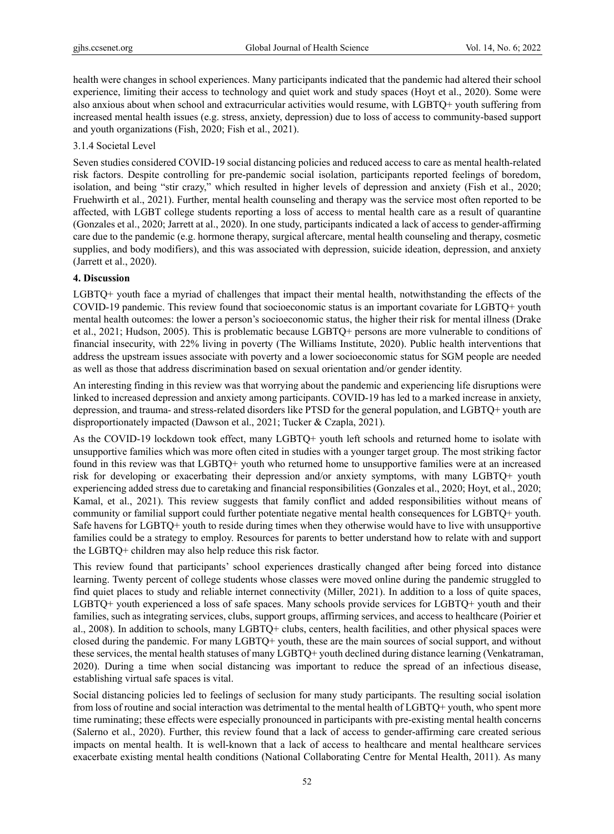health were changes in school experiences. Many participants indicated that the pandemic had altered their school experience, limiting their access to technology and quiet work and study spaces (Hoyt et al., 2020). Some were also anxious about when school and extracurricular activities would resume, with LGBTQ+ youth suffering from increased mental health issues (e.g. stress, anxiety, depression) due to loss of access to community-based support and youth organizations (Fish, 2020; Fish et al., 2021).

#### 3.1.4 Societal Level

Seven studies considered COVID-19 social distancing policies and reduced access to care as mental health-related risk factors. Despite controlling for pre-pandemic social isolation, participants reported feelings of boredom, isolation, and being "stir crazy," which resulted in higher levels of depression and anxiety (Fish et al., 2020; Fruehwirth et al., 2021). Further, mental health counseling and therapy was the service most often reported to be affected, with LGBT college students reporting a loss of access to mental health care as a result of quarantine (Gonzales et al., 2020; Jarrett at al., 2020). In one study, participants indicated a lack of access to gender-affirming care due to the pandemic (e.g. hormone therapy, surgical aftercare, mental health counseling and therapy, cosmetic supplies, and body modifiers), and this was associated with depression, suicide ideation, depression, and anxiety (Jarrett et al., 2020).

## **4. Discussion**

LGBTQ+ youth face a myriad of challenges that impact their mental health, notwithstanding the effects of the COVID-19 pandemic. This review found that socioeconomic status is an important covariate for LGBTQ+ youth mental health outcomes: the lower a person's socioeconomic status, the higher their risk for mental illness (Drake et al., 2021; Hudson, 2005). This is problematic because LGBTQ+ persons are more vulnerable to conditions of financial insecurity, with 22% living in poverty (The Williams Institute, 2020). Public health interventions that address the upstream issues associate with poverty and a lower socioeconomic status for SGM people are needed as well as those that address discrimination based on sexual orientation and/or gender identity.

An interesting finding in this review was that worrying about the pandemic and experiencing life disruptions were linked to increased depression and anxiety among participants. COVID-19 has led to a marked increase in anxiety, depression, and trauma- and stress-related disorders like PTSD for the general population, and LGBTQ+ youth are disproportionately impacted (Dawson et al., 2021; Tucker & Czapla, 2021).

As the COVID-19 lockdown took effect, many LGBTQ+ youth left schools and returned home to isolate with unsupportive families which was more often cited in studies with a younger target group. The most striking factor found in this review was that LGBTQ+ youth who returned home to unsupportive families were at an increased risk for developing or exacerbating their depression and/or anxiety symptoms, with many LGBTQ+ youth experiencing added stress due to caretaking and financial responsibilities (Gonzales et al., 2020; Hoyt, et al., 2020; Kamal, et al., 2021). This review suggests that family conflict and added responsibilities without means of community or familial support could further potentiate negative mental health consequences for LGBTQ+ youth. Safe havens for LGBTQ+ youth to reside during times when they otherwise would have to live with unsupportive families could be a strategy to employ. Resources for parents to better understand how to relate with and support the LGBTQ+ children may also help reduce this risk factor.

This review found that participants' school experiences drastically changed after being forced into distance learning. Twenty percent of college students whose classes were moved online during the pandemic struggled to find quiet places to study and reliable internet connectivity (Miller, 2021). In addition to a loss of quite spaces, LGBTQ+ youth experienced a loss of safe spaces. Many schools provide services for LGBTQ+ youth and their families, such as integrating services, clubs, support groups, affirming services, and access to healthcare (Poirier et al., 2008). In addition to schools, many LGBTQ+ clubs, centers, health facilities, and other physical spaces were closed during the pandemic. For many LGBTQ+ youth, these are the main sources of social support, and without these services, the mental health statuses of many LGBTQ+ youth declined during distance learning (Venkatraman, 2020). During a time when social distancing was important to reduce the spread of an infectious disease, establishing virtual safe spaces is vital.

Social distancing policies led to feelings of seclusion for many study participants. The resulting social isolation from loss of routine and social interaction was detrimental to the mental health of LGBTQ+ youth, who spent more time ruminating; these effects were especially pronounced in participants with pre-existing mental health concerns (Salerno et al., 2020). Further, this review found that a lack of access to gender-affirming care created serious impacts on mental health. It is well-known that a lack of access to healthcare and mental healthcare services exacerbate existing mental health conditions (National Collaborating Centre for Mental Health, 2011). As many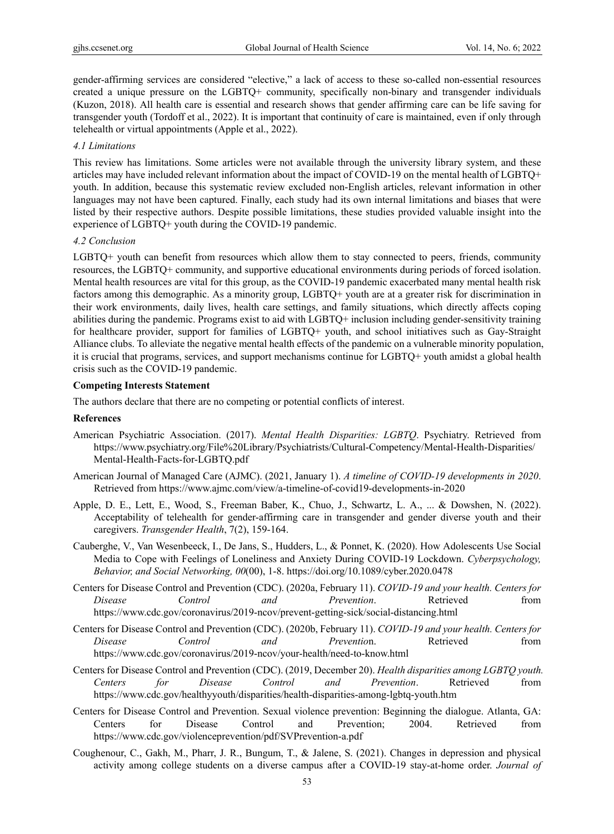gender-affirming services are considered "elective," a lack of access to these so-called non-essential resources created a unique pressure on the LGBTQ+ community, specifically non-binary and transgender individuals (Kuzon, 2018). All health care is essential and research shows that gender affirming care can be life saving for transgender youth (Tordoff et al., 2022). It is important that continuity of care is maintained, even if only through telehealth or virtual appointments (Apple et al., 2022).

#### *4.1 Limitations*

This review has limitations. Some articles were not available through the university library system, and these articles may have included relevant information about the impact of COVID-19 on the mental health of LGBTQ+ youth. In addition, because this systematic review excluded non-English articles, relevant information in other languages may not have been captured. Finally, each study had its own internal limitations and biases that were listed by their respective authors. Despite possible limitations, these studies provided valuable insight into the experience of LGBTQ+ youth during the COVID-19 pandemic.

#### *4.2 Conclusion*

LGBTQ+ youth can benefit from resources which allow them to stay connected to peers, friends, community resources, the LGBTQ+ community, and supportive educational environments during periods of forced isolation. Mental health resources are vital for this group, as the COVID-19 pandemic exacerbated many mental health risk factors among this demographic. As a minority group, LGBTQ+ youth are at a greater risk for discrimination in their work environments, daily lives, health care settings, and family situations, which directly affects coping abilities during the pandemic. Programs exist to aid with LGBTQ+ inclusion including gender-sensitivity training for healthcare provider, support for families of LGBTQ+ youth, and school initiatives such as Gay-Straight Alliance clubs. To alleviate the negative mental health effects of the pandemic on a vulnerable minority population, it is crucial that programs, services, and support mechanisms continue for LGBTQ+ youth amidst a global health crisis such as the COVID-19 pandemic.

#### **Competing Interests Statement**

The authors declare that there are no competing or potential conflicts of interest.

#### **References**

- American Psychiatric Association. (2017). *Mental Health Disparities: LGBTQ*. Psychiatry. Retrieved from https://www.psychiatry.org/File%20Library/Psychiatrists/Cultural-Competency/Mental-Health-Disparities/ Mental-Health-Facts-for-LGBTQ.pdf
- American Journal of Managed Care (AJMC). (2021, January 1). *A timeline of COVID-19 developments in 2020*. Retrieved from https://www.ajmc.com/view/a-timeline-of-covid19-developments-in-2020
- Apple, D. E., Lett, E., Wood, S., Freeman Baber, K., Chuo, J., Schwartz, L. A., ... & Dowshen, N. (2022). Acceptability of telehealth for gender-affirming care in transgender and gender diverse youth and their caregivers. *Transgender Health*, 7(2), 159-164.
- Cauberghe, V., Van Wesenbeeck, I., De Jans, S., Hudders, L., & Ponnet, K. (2020). How Adolescents Use Social Media to Cope with Feelings of Loneliness and Anxiety During COVID-19 Lockdown. *Cyberpsychology, Behavior, and Social Networking, 00*(00), 1-8. https://doi.org/10.1089/cyber.2020.0478
- Centers for Disease Control and Prevention (CDC). (2020a, February 11). *COVID-19 and your health. Centers for Disease Control and Prevention*. Retrieved from https://www.cdc.gov/coronavirus/2019-ncov/prevent-getting-sick/social-distancing.html
- Centers for Disease Control and Prevention (CDC). (2020b, February 11). *COVID-19 and your health. Centers for Disease Control and Preventio*n. Retrieved from https://www.cdc.gov/coronavirus/2019-ncov/your-health/need-to-know.html
- Centers for Disease Control and Prevention (CDC). (2019, December 20). *Health disparities among LGBTQ youth. Centers for Disease Control and Prevention*. Retrieved from https://www.cdc.gov/healthyyouth/disparities/health-disparities-among-lgbtq-youth.htm
- Centers for Disease Control and Prevention. Sexual violence prevention: Beginning the dialogue. Atlanta, GA: Centers for Disease Control and Prevention; 2004. Retrieved from https://www.cdc.gov/violenceprevention/pdf/SVPrevention-a.pdf
- Coughenour, C., Gakh, M., Pharr, J. R., Bungum, T., & Jalene, S. (2021). Changes in depression and physical activity among college students on a diverse campus after a COVID-19 stay-at-home order. *Journal of*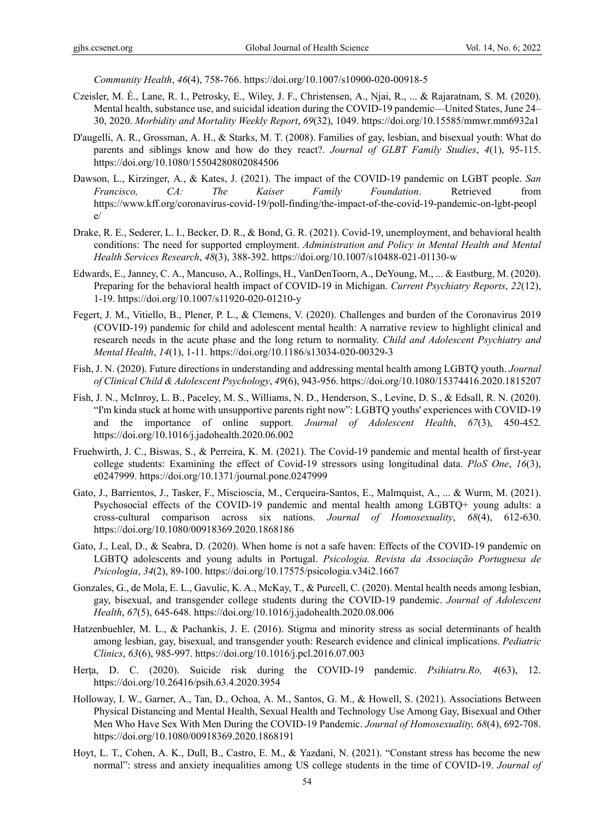*Community Health*, *46*(4), 758-766. https://doi.org/10.1007/s10900-020-00918-5

- Czeisler, M. É., Lane, R. I., Petrosky, E., Wiley, J. F., Christensen, A., Njai, R., ... & Rajaratnam, S. M. (2020). Mental health, substance use, and suicidal ideation during the COVID-19 pandemic—United States, June 24– 30, 2020. *Morbidity and Mortality Weekly Report*, *69*(32), 1049. https://doi.org/10.15585/mmwr.mm6932a1
- D'augelli, A. R., Grossman, A. H., & Starks, M. T. (2008). Families of gay, lesbian, and bisexual youth: What do parents and siblings know and how do they react?. *Journal of GLBT Family Studies*, *4*(1), 95-115. https://doi.org/10.1080/15504280802084506
- Dawson, L., Kirzinger, A., & Kates, J. (2021). The impact of the COVID-19 pandemic on LGBT people. *San Francisco, CA: The Kaiser Family Foundation*. Retrieved from https://www.kff.org/coronavirus-covid-19/poll-finding/the-impact-of-the-covid-19-pandemic-on-lgbt-peopl e/
- Drake, R. E., Sederer, L. I., Becker, D. R., & Bond, G. R. (2021). Covid-19, unemployment, and behavioral health conditions: The need for supported employment. *Administration and Policy in Mental Health and Mental Health Services Research*, *48*(3), 388-392. https://doi.org/10.1007/s10488-021-01130-w
- Edwards, E., Janney, C. A., Mancuso, A., Rollings, H., VanDenToorn, A., DeYoung, M., ... & Eastburg, M. (2020). Preparing for the behavioral health impact of COVID-19 in Michigan. *Current Psychiatry Reports*, *22*(12), 1-19. https://doi.org/10.1007/s11920-020-01210-y
- Fegert, J. M., Vitiello, B., Plener, P. L., & Clemens, V. (2020). Challenges and burden of the Coronavirus 2019 (COVID-19) pandemic for child and adolescent mental health: A narrative review to highlight clinical and research needs in the acute phase and the long return to normality. *Child and Adolescent Psychiatry and Mental Health*, *14*(1), 1-11. https://doi.org/10.1186/s13034-020-00329-3
- Fish, J. N. (2020). Future directions in understanding and addressing mental health among LGBTQ youth. *Journal of Clinical Child & Adolescent Psychology*, *49*(6), 943-956. https://doi.org/10.1080/15374416.2020.1815207
- Fish, J. N., McInroy, L. B., Paceley, M. S., Williams, N. D., Henderson, S., Levine, D. S., & Edsall, R. N. (2020). "I'm kinda stuck at home with unsupportive parents right now": LGBTQ youths' experiences with COVID-19 and the importance of online support. *Journal of Adolescent Health*, *67*(3), 450-452. https://doi.org/10.1016/j.jadohealth.2020.06.002
- Fruehwirth, J. C., Biswas, S., & Perreira, K. M. (2021). The Covid-19 pandemic and mental health of first-year college students: Examining the effect of Covid-19 stressors using longitudinal data. *PloS One*, *16*(3), e0247999. https://doi.org/10.1371/journal.pone.0247999
- Gato, J., Barrientos, J., Tasker, F., Miscioscia, M., Cerqueira-Santos, E., Malmquist, A., ... & Wurm, M. (2021). Psychosocial effects of the COVID-19 pandemic and mental health among LGBTQ+ young adults: a cross-cultural comparison across six nations. *Journal of Homosexuality*, *68*(4), 612-630. https://doi.org/10.1080/00918369.2020.1868186
- Gato, J., Leal, D., & Seabra, D. (2020). When home is not a safe haven: Effects of the COVID-19 pandemic on LGBTQ adolescents and young adults in Portugal. *Psicologia. Revista da Associação Portuguesa de Psicologia*, *34*(2), 89-100. https://doi.org/10.17575/psicologia.v34i2.1667
- Gonzales, G., de Mola, E. L., Gavulic, K. A., McKay, T., & Purcell, C. (2020). Mental health needs among lesbian, gay, bisexual, and transgender college students during the COVID-19 pandemic. *Journal of Adolescent Health*, *67*(5), 645-648. https://doi.org/10.1016/j.jadohealth.2020.08.006
- Hatzenbuehler, M. L., & Pachankis, J. E. (2016). Stigma and minority stress as social determinants of health among lesbian, gay, bisexual, and transgender youth: Research evidence and clinical implications. *Pediatric Clinics*, *63*(6), 985-997. https://doi.org/10.1016/j.pcl.2016.07.003
- Herta, D. C. (2020). Suicide risk during the COVID-19 pandemic. Psihiatru.Ro, 4(63), 12. https://doi.org/10.26416/psih.63.4.2020.3954
- Holloway, I. W., Garner, A., Tan, D., Ochoa, A. M., Santos, G. M., & Howell, S. (2021). Associations Between Physical Distancing and Mental Health, Sexual Health and Technology Use Among Gay, Bisexual and Other Men Who Have Sex With Men During the COVID-19 Pandemic. *Journal of Homosexuality, 68*(4), 692-708. https://doi.org/10.1080/00918369.2020.1868191
- Hoyt, L. T., Cohen, A. K., Dull, B., Castro, E. M., & Yazdani, N. (2021). "Constant stress has become the new normal": stress and anxiety inequalities among US college students in the time of COVID-19. *Journal of*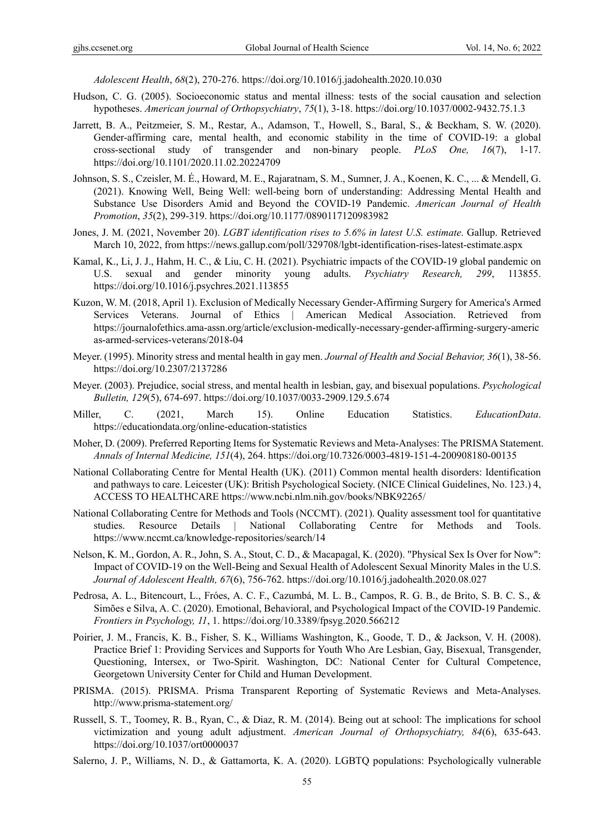*Adolescent Health*, *68*(2), 270-276. https://doi.org/10.1016/j.jadohealth.2020.10.030

- Hudson, C. G. (2005). Socioeconomic status and mental illness: tests of the social causation and selection hypotheses. *American journal of Orthopsychiatry*, *75*(1), 3-18. https://doi.org/10.1037/0002-9432.75.1.3
- Jarrett, B. A., Peitzmeier, S. M., Restar, A., Adamson, T., Howell, S., Baral, S., & Beckham, S. W. (2020). Gender-affirming care, mental health, and economic stability in the time of COVID-19: a global cross-sectional study of transgender and non-binary people. *PLoS One, 16*(7), 1-17. https://doi.org/10.1101/2020.11.02.20224709
- Johnson, S. S., Czeisler, M. É., Howard, M. E., Rajaratnam, S. M., Sumner, J. A., Koenen, K. C., ... & Mendell, G. (2021). Knowing Well, Being Well: well-being born of understanding: Addressing Mental Health and Substance Use Disorders Amid and Beyond the COVID-19 Pandemic. *American Journal of Health Promotion*, *35*(2), 299-319. https://doi.org/10.1177/0890117120983982
- Jones, J. M. (2021, November 20). *LGBT identification rises to 5.6% in latest U.S. estimate*. Gallup. Retrieved March 10, 2022, from https://news.gallup.com/poll/329708/lgbt-identification-rises-latest-estimate.aspx
- Kamal, K., Li, J. J., Hahm, H. C., & Liu, C. H. (2021). Psychiatric impacts of the COVID-19 global pandemic on U.S. sexual and gender minority young adults. *Psychiatry Research, 299*, 113855. https://doi.org/10.1016/j.psychres.2021.113855
- Kuzon, W. M. (2018, April 1). Exclusion of Medically Necessary Gender-Affirming Surgery for America's Armed Services Veterans. Journal of Ethics | American Medical Association. Retrieved from https://journalofethics.ama-assn.org/article/exclusion-medically-necessary-gender-affirming-surgery-americ as-armed-services-veterans/2018-04
- Meyer. (1995). Minority stress and mental health in gay men. *Journal of Health and Social Behavior, 36*(1), 38-56. https://doi.org/10.2307/2137286
- Meyer. (2003). Prejudice, social stress, and mental health in lesbian, gay, and bisexual populations. *Psychological Bulletin, 129*(5), 674-697. https://doi.org/10.1037/0033-2909.129.5.674
- Miller, C. (2021, March 15). Online Education Statistics. *EducationData*. https://educationdata.org/online-education-statistics
- Moher, D. (2009). Preferred Reporting Items for Systematic Reviews and Meta-Analyses: The PRISMA Statement. *Annals of Internal Medicine, 151*(4), 264. https://doi.org/10.7326/0003-4819-151-4-200908180-00135
- National Collaborating Centre for Mental Health (UK). (2011) Common mental health disorders: Identification and pathways to care. Leicester (UK): British Psychological Society. (NICE Clinical Guidelines, No. 123.) 4, ACCESS TO HEALTHCARE https://www.ncbi.nlm.nih.gov/books/NBK92265/
- National Collaborating Centre for Methods and Tools (NCCMT). (2021). Quality assessment tool for quantitative studies. Resource Details | National Collaborating Centre for Methods and Tools. https://www.nccmt.ca/knowledge-repositories/search/14
- Nelson, K. M., Gordon, A. R., John, S. A., Stout, C. D., & Macapagal, K. (2020). "Physical Sex Is Over for Now": Impact of COVID-19 on the Well-Being and Sexual Health of Adolescent Sexual Minority Males in the U.S. *Journal of Adolescent Health, 67*(6), 756-762. https://doi.org/10.1016/j.jadohealth.2020.08.027
- Pedrosa, A. L., Bitencourt, L., Fróes, A. C. F., Cazumbá, M. L. B., Campos, R. G. B., de Brito, S. B. C. S., & Simões e Silva, A. C. (2020). Emotional, Behavioral, and Psychological Impact of the COVID-19 Pandemic. *Frontiers in Psychology, 11*, 1. https://doi.org/10.3389/fpsyg.2020.566212
- Poirier, J. M., Francis, K. B., Fisher, S. K., Williams Washington, K., Goode, T. D., & Jackson, V. H. (2008). Practice Brief 1: Providing Services and Supports for Youth Who Are Lesbian, Gay, Bisexual, Transgender, Questioning, Intersex, or Two-Spirit. Washington, DC: National Center for Cultural Competence, Georgetown University Center for Child and Human Development.
- PRISMA. (2015). PRISMA. Prisma Transparent Reporting of Systematic Reviews and Meta-Analyses. http://www.prisma-statement.org/
- Russell, S. T., Toomey, R. B., Ryan, C., & Diaz, R. M. (2014). Being out at school: The implications for school victimization and young adult adjustment. *American Journal of Orthopsychiatry, 84*(6), 635-643. https://doi.org/10.1037/ort0000037
- Salerno, J. P., Williams, N. D., & Gattamorta, K. A. (2020). LGBTQ populations: Psychologically vulnerable